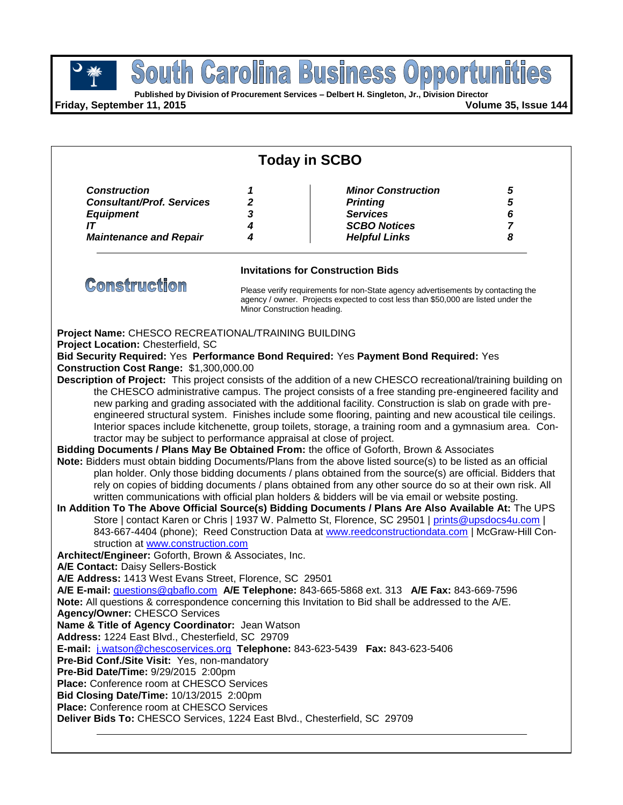**Published by Division of Procurement Services – Delbert H. Singleton, Jr., Division Director**

**Friday, September 11, 2015 Volume 35, Issue 144**

| <b>Today in SCBO</b>                                                                                                                                                                                                                                                                                                                                                                                                                                                                                                                                                                                                                                                                                                                                                                                                                                                                                                                                                                                                                                                                                                                                 |                             |                                                                                                                                                                       |                                    |
|------------------------------------------------------------------------------------------------------------------------------------------------------------------------------------------------------------------------------------------------------------------------------------------------------------------------------------------------------------------------------------------------------------------------------------------------------------------------------------------------------------------------------------------------------------------------------------------------------------------------------------------------------------------------------------------------------------------------------------------------------------------------------------------------------------------------------------------------------------------------------------------------------------------------------------------------------------------------------------------------------------------------------------------------------------------------------------------------------------------------------------------------------|-----------------------------|-----------------------------------------------------------------------------------------------------------------------------------------------------------------------|------------------------------------|
| <b>Construction</b><br><b>Consultant/Prof. Services</b><br><b>Equipment</b><br>IT<br><b>Maintenance and Repair</b>                                                                                                                                                                                                                                                                                                                                                                                                                                                                                                                                                                                                                                                                                                                                                                                                                                                                                                                                                                                                                                   | 1<br>2<br>3<br>4<br>4       | <b>Minor Construction</b><br><b>Printing</b><br><b>Services</b><br><b>SCBO Notices</b><br><b>Helpful Links</b>                                                        | 5<br>5<br>6<br>$\overline{7}$<br>8 |
|                                                                                                                                                                                                                                                                                                                                                                                                                                                                                                                                                                                                                                                                                                                                                                                                                                                                                                                                                                                                                                                                                                                                                      |                             |                                                                                                                                                                       |                                    |
| <b>Invitations for Construction Bids</b>                                                                                                                                                                                                                                                                                                                                                                                                                                                                                                                                                                                                                                                                                                                                                                                                                                                                                                                                                                                                                                                                                                             |                             |                                                                                                                                                                       |                                    |
| <b>Construction</b>                                                                                                                                                                                                                                                                                                                                                                                                                                                                                                                                                                                                                                                                                                                                                                                                                                                                                                                                                                                                                                                                                                                                  | Minor Construction heading. | Please verify requirements for non-State agency advertisements by contacting the<br>agency / owner. Projects expected to cost less than \$50,000 are listed under the |                                    |
| Project Name: CHESCO RECREATIONAL/TRAINING BUILDING<br>Project Location: Chesterfield, SC<br>Bid Security Required: Yes Performance Bond Required: Yes Payment Bond Required: Yes<br>Construction Cost Range: \$1,300,000.00<br>Description of Project: This project consists of the addition of a new CHESCO recreational/training building on                                                                                                                                                                                                                                                                                                                                                                                                                                                                                                                                                                                                                                                                                                                                                                                                      |                             |                                                                                                                                                                       |                                    |
| the CHESCO administrative campus. The project consists of a free standing pre-engineered facility and<br>new parking and grading associated with the additional facility. Construction is slab on grade with pre-<br>engineered structural system. Finishes include some flooring, painting and new acoustical tile ceilings.<br>Interior spaces include kitchenette, group toilets, storage, a training room and a gymnasium area. Con-<br>tractor may be subject to performance appraisal at close of project.                                                                                                                                                                                                                                                                                                                                                                                                                                                                                                                                                                                                                                     |                             |                                                                                                                                                                       |                                    |
| Bidding Documents / Plans May Be Obtained From: the office of Goforth, Brown & Associates<br>Note: Bidders must obtain bidding Documents/Plans from the above listed source(s) to be listed as an official<br>plan holder. Only those bidding documents / plans obtained from the source(s) are official. Bidders that<br>rely on copies of bidding documents / plans obtained from any other source do so at their own risk. All<br>written communications with official plan holders & bidders will be via email or website posting.<br>In Addition To The Above Official Source(s) Bidding Documents / Plans Are Also Available At: The UPS<br>Store   contact Karen or Chris   1937 W. Palmetto St, Florence, SC 29501   prints@upsdocs4u.com  <br>843-667-4404 (phone); Reed Construction Data at www.reedconstructiondata.com   McGraw-Hill Con-<br>struction at www.construction.com<br>Architect/Engineer: Goforth, Brown & Associates, Inc.<br>A/E Contact: Daisy Sellers-Bostick<br>A/E Address: 1413 West Evans Street, Florence, SC 29501<br>A/E E-mail: questions@gbaflo.com A/E Telephone: 843-665-5868 ext. 313 A/E Fax: 843-669-7596 |                             |                                                                                                                                                                       |                                    |
| Note: All questions & correspondence concerning this Invitation to Bid shall be addressed to the A/E.<br><b>Agency/Owner: CHESCO Services</b><br>Name & Title of Agency Coordinator: Jean Watson<br>Address: 1224 East Blvd., Chesterfield, SC 29709<br>E-mail: j.watson@chescoservices.org Telephone: 843-623-5439  Fax: 843-623-5406<br>Pre-Bid Conf./Site Visit: Yes, non-mandatory<br>Pre-Bid Date/Time: 9/29/2015 2:00pm<br><b>Place:</b> Conference room at CHESCO Services<br>Bid Closing Date/Time: 10/13/2015 2:00pm<br><b>Place:</b> Conference room at CHESCO Services<br>Deliver Bids To: CHESCO Services, 1224 East Blvd., Chesterfield, SC 29709                                                                                                                                                                                                                                                                                                                                                                                                                                                                                       |                             |                                                                                                                                                                       |                                    |
|                                                                                                                                                                                                                                                                                                                                                                                                                                                                                                                                                                                                                                                                                                                                                                                                                                                                                                                                                                                                                                                                                                                                                      |                             |                                                                                                                                                                       |                                    |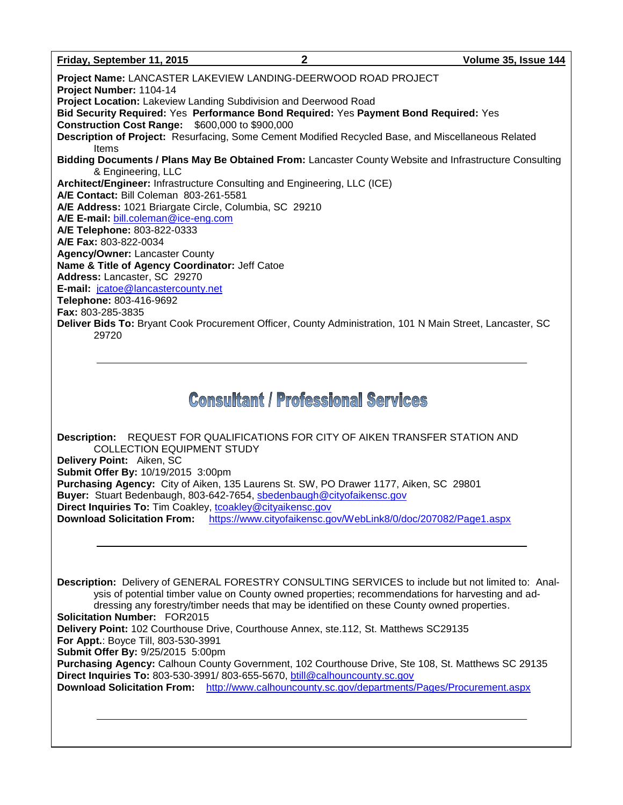#### **Friday, September 11, 2015 2 Volume 35, Issue 144**

**Project Name:** LANCASTER LAKEVIEW LANDING-DEERWOOD ROAD PROJECT **Project Number:** 1104-14 **Project Location:** Lakeview Landing Subdivision and Deerwood Road **Bid Security Required:** Yes **Performance Bond Required:** Yes **Payment Bond Required:** Yes **Construction Cost Range:** \$600,000 to \$900,000 **Description of Project:** Resurfacing, Some Cement Modified Recycled Base, and Miscellaneous Related Items **Bidding Documents / Plans May Be Obtained From:** Lancaster County Website and Infrastructure Consulting & Engineering, LLC **Architect/Engineer:** Infrastructure Consulting and Engineering, LLC (ICE) **A/E Contact:** Bill Coleman 803-261-5581 **A/E Address:** 1021 Briargate Circle, Columbia, SC 29210 **A/E E-mail:** [bill.coleman@ice-eng.com](mailto:bill.coleman@ice-eng.com) **A/E Telephone:** 803-822-0333 **A/E Fax:** 803-822-0034 **Agency/Owner:** Lancaster County **Name & Title of Agency Coordinator:** Jeff Catoe **Address:** Lancaster, SC 29270 **E-mail:** [jcatoe@lancastercounty.net](mailto:jcatoe@lancastercounty.net) **Telephone:** 803-416-9692 **Fax:** 803-285-3835 **Deliver Bids To:** Bryant Cook Procurement Officer, County Administration, 101 N Main Street, Lancaster, SC 29720

# **Consultant / Professional Services**

**Description:** REQUEST FOR QUALIFICATIONS FOR CITY OF AIKEN TRANSFER STATION AND COLLECTION EQUIPMENT STUDY **Delivery Point:** Aiken, SC **Submit Offer By:** 10/19/2015 3:00pm **Purchasing Agency:** City of Aiken, 135 Laurens St. SW, PO Drawer 1177, Aiken, SC 29801 **Buyer:** Stuart Bedenbaugh, 803-642-7654, [sbedenbaugh@cityofaikensc.gov](mailto:sbedenbaugh@cityofaikensc.gov) **Direct Inquiries To: Tim Coakley, [tcoakley@cityaikensc.gov](mailto:tcoakley@cityaikensc.gov) Download Solicitation From:** <https://www.cityofaikensc.gov/WebLink8/0/doc/207082/Page1.aspx>

**Description:** Delivery of GENERAL FORESTRY CONSULTING SERVICES to include but not limited to: Analysis of potential timber value on County owned properties; recommendations for harvesting and addressing any forestry/timber needs that may be identified on these County owned properties. **Solicitation Number:** FOR2015 **Delivery Point:** 102 Courthouse Drive, Courthouse Annex, ste.112, St. Matthews SC29135 **For Appt.**: Boyce Till, 803-530-3991 **Submit Offer By:** 9/25/2015 5:00pm **Purchasing Agency:** Calhoun County Government, 102 Courthouse Drive, Ste 108, St. Matthews SC 29135 **Direct Inquiries To:** 803-530-3991/ 803-655-5670, [btill@calhouncounty.sc.gov](mailto:btill@calhouncounty.sc.gov) **Download Solicitation From:** <http://www.calhouncounty.sc.gov/departments/Pages/Procurement.aspx>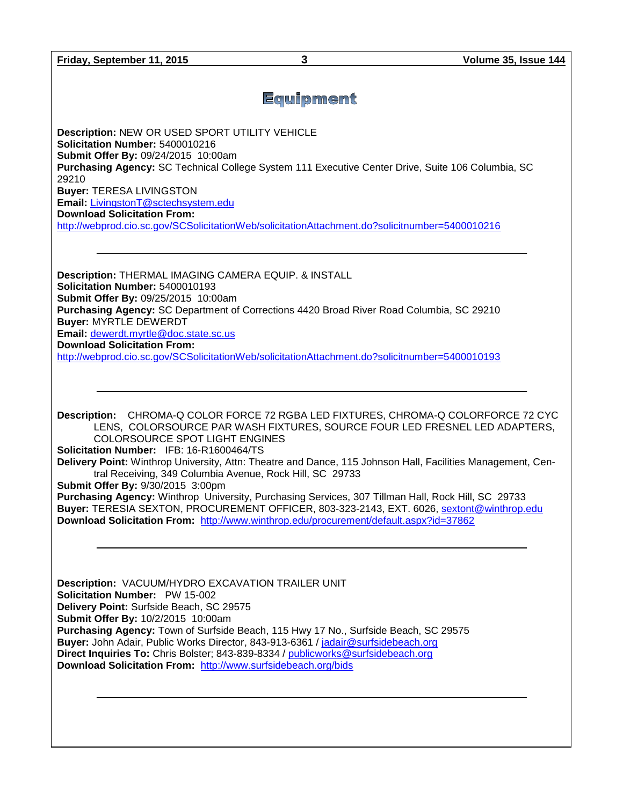**Friday, September 11, 2015 3 Volume 35, Issue 144**

# Equipment

**Description:** NEW OR USED SPORT UTILITY VEHICLE **Solicitation Number:** 5400010216 **Submit Offer By:** 09/24/2015 10:00am **Purchasing Agency:** SC Technical College System 111 Executive Center Drive, Suite 106 Columbia, SC 29210 **Buyer:** TERESA LIVINGSTON **Email:** [LivingstonT@sctechsystem.edu](mailto:LivingstonT@sctechsystem.edu) **Download Solicitation From:**  <http://webprod.cio.sc.gov/SCSolicitationWeb/solicitationAttachment.do?solicitnumber=5400010216>

**Description:** THERMAL IMAGING CAMERA EQUIP. & INSTALL **Solicitation Number:** 5400010193 **Submit Offer By:** 09/25/2015 10:00am **Purchasing Agency:** SC Department of Corrections 4420 Broad River Road Columbia, SC 29210 **Buyer:** MYRTLE DEWERDT **Email:** [dewerdt.myrtle@doc.state.sc.us](mailto:dewerdt.myrtle@doc.state.sc.us) **Download Solicitation From:**  <http://webprod.cio.sc.gov/SCSolicitationWeb/solicitationAttachment.do?solicitnumber=5400010193>

**Description:** CHROMA-Q COLOR FORCE 72 RGBA LED FIXTURES, CHROMA-Q COLORFORCE 72 CYC LENS, COLORSOURCE PAR WASH FIXTURES, SOURCE FOUR LED FRESNEL LED ADAPTERS, COLORSOURCE SPOT LIGHT ENGINES

**Solicitation Number:** IFB: 16-R1600464/TS

**Delivery Point:** Winthrop University, Attn: Theatre and Dance, 115 Johnson Hall, Facilities Management, Central Receiving, 349 Columbia Avenue, Rock Hill, SC 29733

**Submit Offer By:** 9/30/2015 3:00pm

**Purchasing Agency:** Winthrop University, Purchasing Services, 307 Tillman Hall, Rock Hill, SC 29733 **Buyer:** TERESIA SEXTON, PROCUREMENT OFFICER, 803-323-2143, EXT. 6026, [sextont@winthrop.edu](mailto:sextont@winthrop.edu) **Download Solicitation From:** <http://www.winthrop.edu/procurement/default.aspx?id=37862>

**Description:** VACUUM/HYDRO EXCAVATION TRAILER UNIT **Solicitation Number:** PW 15-002 **Delivery Point:** Surfside Beach, SC 29575 **Submit Offer By:** 10/2/2015 10:00am **Purchasing Agency:** Town of Surfside Beach, 115 Hwy 17 No., Surfside Beach, SC 29575 **Buyer:** John Adair, Public Works Director, 843-913-6361 / [jadair@surfsidebeach.org](mailto:jadair@surfsidebeach.org) **Direct Inquiries To:** Chris Bolster; 843-839-8334 / [publicworks@surfsidebeach.org](mailto:publicworks@surfsidebeach.org) **Download Solicitation From:** <http://www.surfsidebeach.org/bids>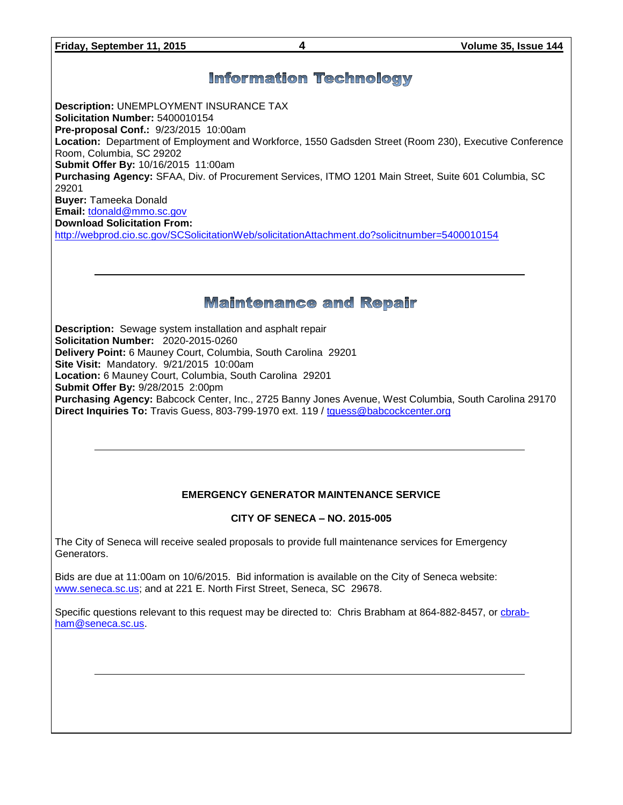# **Information Technology**

**Description:** UNEMPLOYMENT INSURANCE TAX **Solicitation Number:** 5400010154 **Pre-proposal Conf.:** 9/23/2015 10:00am **Location:** Department of Employment and Workforce, 1550 Gadsden Street (Room 230), Executive Conference Room, Columbia, SC 29202 **Submit Offer By:** 10/16/2015 11:00am **Purchasing Agency:** SFAA, Div. of Procurement Services, ITMO 1201 Main Street, Suite 601 Columbia, SC 29201 **Buyer:** Tameeka Donald **Email:** [tdonald@mmo.sc.gov](mailto:tdonald@mmo.sc.gov) **Download Solicitation From:**  <http://webprod.cio.sc.gov/SCSolicitationWeb/solicitationAttachment.do?solicitnumber=5400010154>

## **Maintenance and Repair**

**Description:** Sewage system installation and asphalt repair **Solicitation Number:** 2020-2015-0260 **Delivery Point:** 6 Mauney Court, Columbia, South Carolina 29201 **Site Visit:** Mandatory. 9/21/2015 10:00am **Location:** 6 Mauney Court, Columbia, South Carolina 29201 **Submit Offer By:** 9/28/2015 2:00pm **Purchasing Agency:** Babcock Center, Inc., 2725 Banny Jones Avenue, West Columbia, South Carolina 29170 **Direct Inquiries To:** Travis Guess, 803-799-1970 ext. 119 / [tguess@babcockcenter.org](mailto:tguess@babcockcenter.org)

## **EMERGENCY GENERATOR MAINTENANCE SERVICE**

### **CITY OF SENECA – NO. 2015-005**

The City of Seneca will receive sealed proposals to provide full maintenance services for Emergency Generators.

Bids are due at 11:00am on 10/6/2015. Bid information is available on the City of Seneca website: [www.seneca.sc.us;](http://www.seneca.sc.us/) and at 221 E. North First Street, Seneca, SC 29678.

Specific questions relevant to this request may be directed to: Chris Brabham at 864-882-8457, or [cbrab](mailto:cbrabham@seneca.sc.us)[ham@seneca.sc.us.](mailto:cbrabham@seneca.sc.us)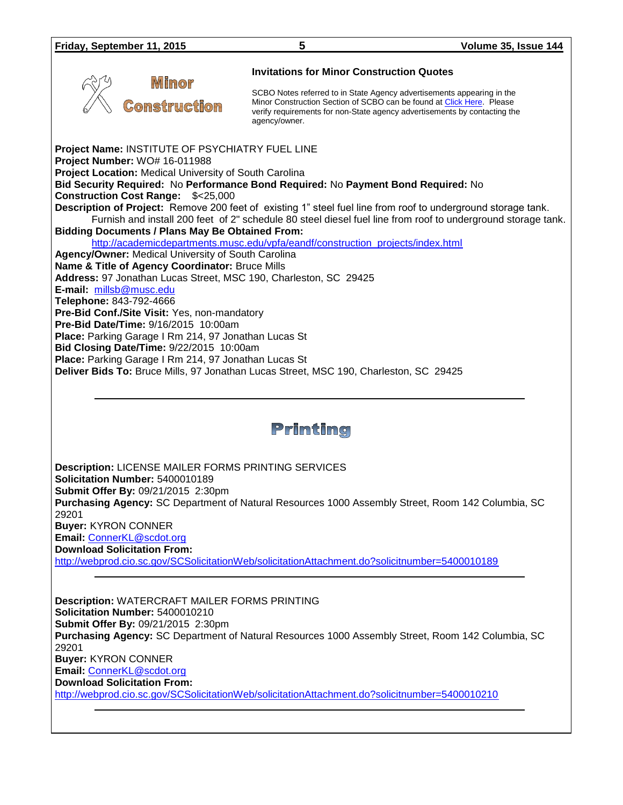**Mimor** 

:omstruction

**Invitations for Minor Construction Quotes**

SCBO Notes referred to in State Agency advertisements appearing in the Minor Construction Section of SCBO can be found at [Click Here.](http://www.mmo.sc.gov/PS/general/scbo/SCBO_Notes_060512.pdf) Please verify requirements for non-State agency advertisements by contacting the agency/owner.

**Project Name:** INSTITUTE OF PSYCHIATRY FUEL LINE **Project Number:** WO# 16-011988 **Project Location:** Medical University of South Carolina **Bid Security Required:** No **Performance Bond Required:** No **Payment Bond Required:** No **Construction Cost Range:** \$<25,000 **Description of Project:** Remove 200 feet of existing 1" steel fuel line from roof to underground storage tank. Furnish and install 200 feet of 2" schedule 80 steel diesel fuel line from roof to underground storage tank. **Bidding Documents / Plans May Be Obtained From:** [http://academicdepartments.musc.edu/vpfa/eandf/construction\\_projects/index.html](http://academicdepartments.musc.edu/vpfa/eandf/construction_projects/index.html) **Agency/Owner:** Medical University of South Carolina **Name & Title of Agency Coordinator:** Bruce Mills **Address:** 97 Jonathan Lucas Street, MSC 190, Charleston, SC 29425 **E-mail:** [millsb@musc.edu](mailto:millsb@musc.edu) **Telephone:** 843-792-4666 **Pre-Bid Conf./Site Visit:** Yes, non-mandatory **Pre-Bid Date/Time:** 9/16/2015 10:00am **Place:** Parking Garage I Rm 214, 97 Jonathan Lucas St **Bid Closing Date/Time:** 9/22/2015 10:00am **Place:** Parking Garage I Rm 214, 97 Jonathan Lucas St **Deliver Bids To:** Bruce Mills, 97 Jonathan Lucas Street, MSC 190, Charleston, SC 29425

# Printing

**Description:** LICENSE MAILER FORMS PRINTING SERVICES **Solicitation Number:** 5400010189 **Submit Offer By:** 09/21/2015 2:30pm **Purchasing Agency:** SC Department of Natural Resources 1000 Assembly Street, Room 142 Columbia, SC 29201 **Buyer:** KYRON CONNER **Email:** [ConnerKL@scdot.org](mailto:ConnerKL@scdot.org) **Download Solicitation From:**  <http://webprod.cio.sc.gov/SCSolicitationWeb/solicitationAttachment.do?solicitnumber=5400010189>

**Description:** WATERCRAFT MAILER FORMS PRINTING **Solicitation Number:** 5400010210 **Submit Offer By:** 09/21/2015 2:30pm **Purchasing Agency:** SC Department of Natural Resources 1000 Assembly Street, Room 142 Columbia, SC 29201 **Buyer:** KYRON CONNER **Email:** [ConnerKL@scdot.org](mailto:ConnerKL@scdot.org) **Download Solicitation From:**  <http://webprod.cio.sc.gov/SCSolicitationWeb/solicitationAttachment.do?solicitnumber=5400010210>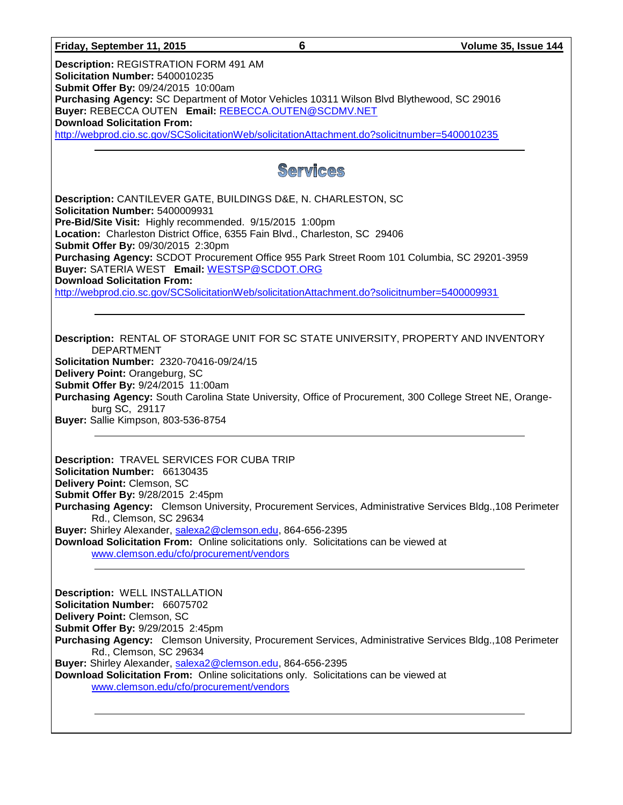#### **Friday, September 11, 2015 6 Volume 35, Issue 144**

**Description:** REGISTRATION FORM 491 AM **Solicitation Number:** 5400010235 **Submit Offer By:** 09/24/2015 10:00am **Purchasing Agency:** SC Department of Motor Vehicles 10311 Wilson Blvd Blythewood, SC 29016 **Buyer:** REBECCA OUTEN **Email:** [REBECCA.OUTEN@SCDMV.NET](mailto:REBECCA.OUTEN@SCDMV.NET) **Download Solicitation From:**  <http://webprod.cio.sc.gov/SCSolicitationWeb/solicitationAttachment.do?solicitnumber=5400010235>

# Services

**Description:** CANTILEVER GATE, BUILDINGS D&E, N. CHARLESTON, SC **Solicitation Number:** 5400009931 **Pre-Bid/Site Visit:** Highly recommended. 9/15/2015 1:00pm **Location:** Charleston District Office, 6355 Fain Blvd., Charleston, SC 29406 **Submit Offer By:** 09/30/2015 2:30pm **Purchasing Agency:** SCDOT Procurement Office 955 Park Street Room 101 Columbia, SC 29201-3959 **Buyer:** SATERIA WEST **Email:** [WESTSP@SCDOT.ORG](mailto:WESTSP@SCDOT.ORG) **Download Solicitation From:**  <http://webprod.cio.sc.gov/SCSolicitationWeb/solicitationAttachment.do?solicitnumber=5400009931>

**Description:** RENTAL OF STORAGE UNIT FOR SC STATE UNIVERSITY, PROPERTY AND INVENTORY DEPARTMENT **Solicitation Number:** 2320-70416-09/24/15 **Delivery Point:** Orangeburg, SC **Submit Offer By:** 9/24/2015 11:00am **Purchasing Agency:** South Carolina State University, Office of Procurement, 300 College Street NE, Orangeburg SC, 29117 **Buyer:** Sallie Kimpson, 803-536-8754

**Description:** TRAVEL SERVICES FOR CUBA TRIP **Solicitation Number:** 66130435 **Delivery Point:** Clemson, SC **Submit Offer By:** 9/28/2015 2:45pm **Purchasing Agency:** Clemson University, Procurement Services, Administrative Services Bldg.,108 Perimeter Rd., Clemson, SC 29634 **Buyer:** Shirley Alexander, [salexa2@clemson.edu,](mailto:salexa2@clemson.edu) 864-656-2395 **Download Solicitation From:** Online solicitations only. Solicitations can be viewed at [www.clemson.edu/cfo/procurement/vendors](http://www.clemson.edu/cfo/procurement/vendors)

**Description:** WELL INSTALLATION **Solicitation Number:** 66075702 **Delivery Point:** Clemson, SC **Submit Offer By:** 9/29/2015 2:45pm **Purchasing Agency:** Clemson University, Procurement Services, Administrative Services Bldg.,108 Perimeter Rd., Clemson, SC 29634 **Buyer:** Shirley Alexander, [salexa2@clemson.edu,](mailto:salexa2@clemson.edu) 864-656-2395 **Download Solicitation From:** Online solicitations only. Solicitations can be viewed at [www.clemson.edu/cfo/procurement/vendors](http://www.clemson.edu/cfo/procurement/vendors)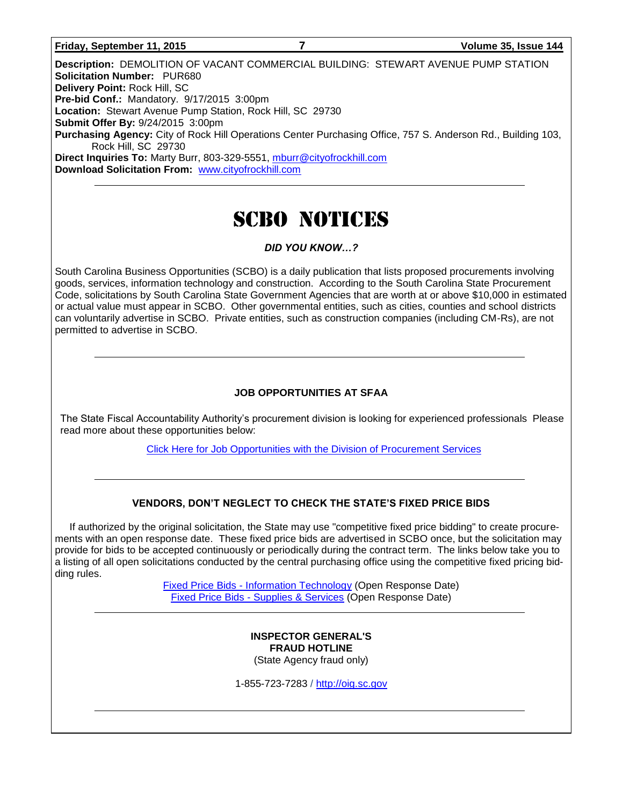#### **Friday, September 11, 2015 7 Volume 35, Issue 144**

**Description:** DEMOLITION OF VACANT COMMERCIAL BUILDING: STEWART AVENUE PUMP STATION **Solicitation Number:** PUR680 **Delivery Point:** Rock Hill, SC **Pre-bid Conf.:** Mandatory. 9/17/2015 3:00pm **Location:** Stewart Avenue Pump Station, Rock Hill, SC 29730 **Submit Offer By:** 9/24/2015 3:00pm **Purchasing Agency:** City of Rock Hill Operations Center Purchasing Office, 757 S. Anderson Rd., Building 103, Rock Hill, SC 29730 **Direct Inquiries To:** Marty Burr, 803-329-5551, [mburr@cityofrockhill.com](mailto:mburr@cityofrockhill.com) **Download Solicitation From:** [www.cityofrockhill.com](http://www.cityofrockhill.com/)

# SCBO NOTICES

#### *DID YOU KNOW…?*

South Carolina Business Opportunities (SCBO) is a daily publication that lists proposed procurements involving goods, services, information technology and construction. According to the South Carolina State Procurement Code, solicitations by South Carolina State Government Agencies that are worth at or above \$10,000 in estimated or actual value must appear in SCBO. Other governmental entities, such as cities, counties and school districts can voluntarily advertise in SCBO. Private entities, such as construction companies (including CM-Rs), are not permitted to advertise in SCBO.

#### **JOB OPPORTUNITIES AT SFAA**

The State Fiscal Accountability Authority's procurement division is looking for experienced professionals Please read more about these opportunities below:

[Click Here for Job Opportunities with the Division of Procurement Services](http://procurement.sc.gov/webfiles/MMO_scbo/SCBO%20Online/SFAA_job_opportunities.pdf)

#### **VENDORS, DON'T NEGLECT TO CHECK THE STATE'S FIXED PRICE BIDS**

If authorized by the original solicitation, the State may use "competitive fixed price bidding" to create procurements with an open response date. These fixed price bids are advertised in SCBO once, but the solicitation may provide for bids to be accepted continuously or periodically during the contract term. The links below take you to a listing of all open solicitations conducted by the central purchasing office using the competitive fixed pricing bidding rules.

> Fixed Price Bids - [Information Technology](http://www.mmo.sc.gov/PS/vendor/PS-vendor-fixed-price-bids-it.phtm) (Open Response Date) Fixed Price Bids - [Supplies & Services](http://www.mmo.sc.gov/PS/vendor/PS-vendor-fixed-price-bids-ss.phtm) (Open Response Date)

#### **INSPECTOR GENERAL'S FRAUD HOTLINE** (State Agency fraud only)

1-855-723-7283 / [http://oig.sc.gov](http://oig.sc.gov/)